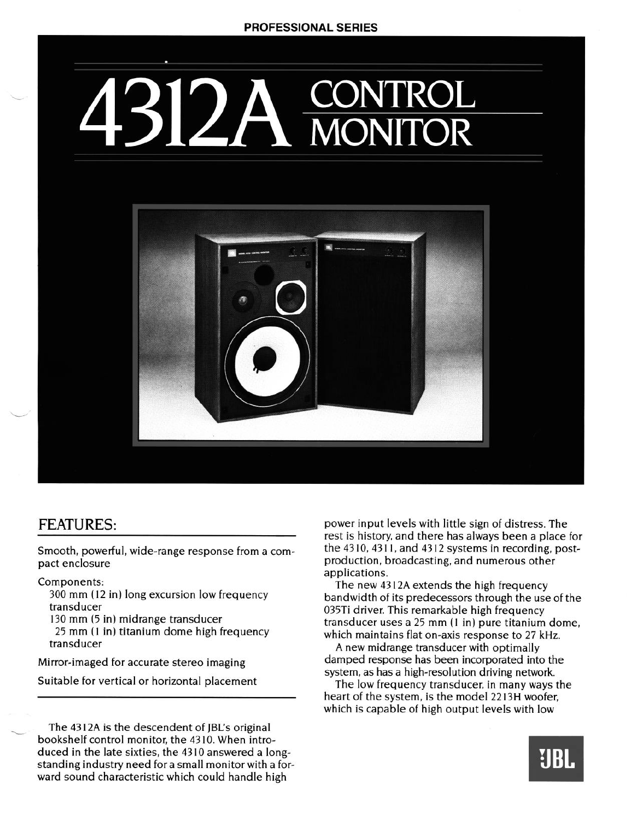## **ROL MONITOR**



## FEATURES:

Smooth, powerful, wide-range response from a compact enclosure

## Components:

300 mm ( 12 in) long excursion low frequency transducer

130 mm (5 in) midrange transducer

25 mm (1 in) titanium dome high frequency transducer

Mirror-imaged for accurate stereo imaging

Suitable for vertical or horizontal placement

The 43 12A is the descendent of JBL's original bookshelf control monitor, the 43 10. When introduced in the late sixties, the 43 10 answered a longstanding industry need for a small monitor with a forward sound characteristic which could handle high

power input levels with little sign of distress. The rest is history, and there has always been a place for the 43 10, 43 11, and 43 12 systems in recording, postproduction, broadcasting, and numerous other applications.

The new 43 12A extends the high frequency bandwidth of its predecessors through the use of the 035Ti driver. This remarkable high frequency transducer uses a 25 **mm** (1 in) pure titanium dome, which maintains flat on-axis response to 27 kHz.

A new midrange transducer with optimally damped response has been incorporated into the system, as has a high-resolution driving network.

The low frequency transducer, in many ways the heart of the system, is the model 22 I3H woofer, which is capable of high output levels with low